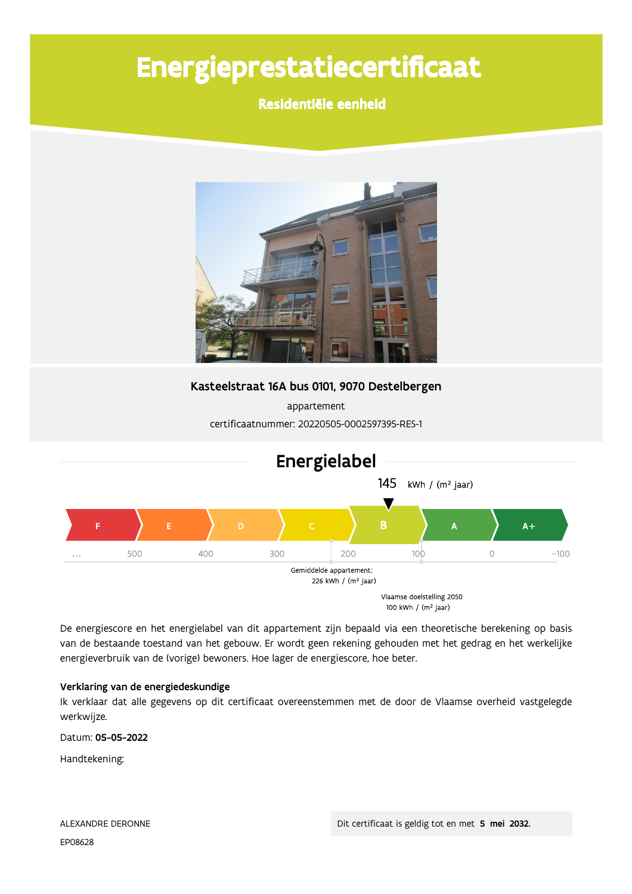# Energieprestatiecertificaat

# Residentiële eenheid



Kasteelstraat 16A bus 0101, 9070 Destelbergen

appartement certificaatnummer: 20220505-0002597395-RES-1



De energiescore en het energielabel van dit appartement zijn bepaald via een theoretische berekening op basis van de bestaande toestand van het gebouw. Er wordt geen rekening gehouden met het gedrag en het werkelijke energieverbruik van de (vorige) bewoners. Hoe lager de energiescore, hoe beter.

### Verklaring van de energiedeskundige

Ik verklaar dat alle gegevens op dit certificaat overeenstemmen met de door de Vlaamse overheid vastgelegde werkwijze.

Datum: 05-05-2022

Handtekening: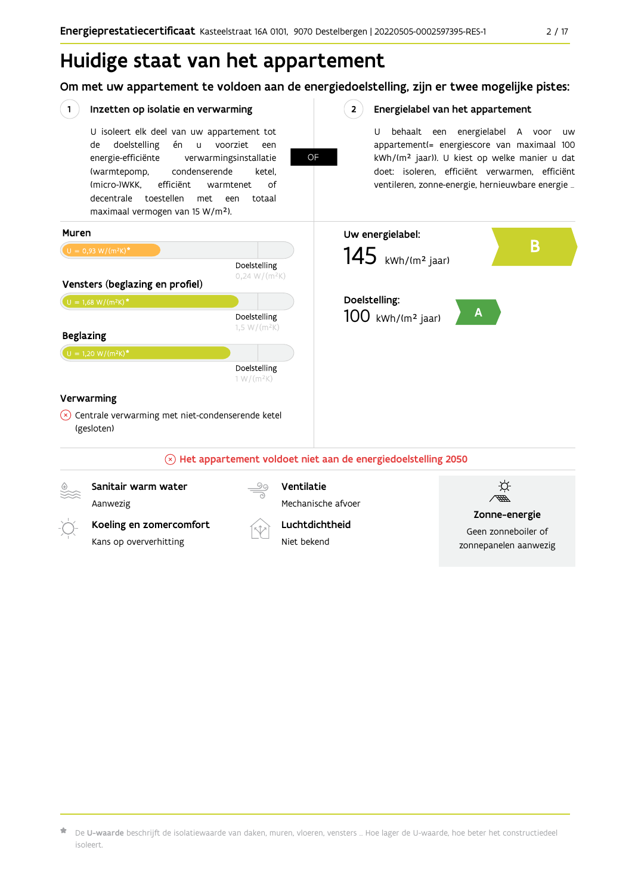# Huidige staat van het appartement

Om met uw appartement te voldoen aan de energiedoelstelling, zijn er twee mogelijke pistes:

| 1.               | Inzetten op isolatie en verwarming                                                                                                                                                                                                                         |                                                                                         | 2 <sup>1</sup>                                                         |                                 | Energielabel van het appartement                                                                                                                                                                                                                       |  |  |
|------------------|------------------------------------------------------------------------------------------------------------------------------------------------------------------------------------------------------------------------------------------------------------|-----------------------------------------------------------------------------------------|------------------------------------------------------------------------|---------------------------------|--------------------------------------------------------------------------------------------------------------------------------------------------------------------------------------------------------------------------------------------------------|--|--|
|                  | U isoleert elk deel van uw appartement tot<br>doelstelling<br>én<br>de<br>$\mathsf{u}$<br>energie-efficiënte<br>condenserende<br>(warmtepomp,<br>(micro-)WKK.<br>efficiënt<br>decentrale toestellen<br>met<br>maximaal vermogen van 15 W/m <sup>2</sup> ). | voorziet<br>een<br>verwarmingsinstallatie<br>ketel,<br>οf<br>warmtenet<br>totaal<br>een | OF                                                                     | U                               | behaalt een energielabel A voor<br>uw<br>appartement(= energiescore van maximaal 100<br>kWh/(m <sup>2</sup> jaar)). U kiest op welke manier u dat<br>doet: isoleren, efficiënt verwarmen, efficiënt<br>ventileren, zonne-energie, hernieuwbare energie |  |  |
| Muren            |                                                                                                                                                                                                                                                            |                                                                                         |                                                                        | Uw energielabel:                |                                                                                                                                                                                                                                                        |  |  |
|                  | $U = 0,93 W/(m^2K)^*$                                                                                                                                                                                                                                      |                                                                                         |                                                                        | $145$ kWh/(m <sup>2</sup> jaar) | B                                                                                                                                                                                                                                                      |  |  |
|                  |                                                                                                                                                                                                                                                            | Doelstelling<br>$0,24 W/(m^2K)$                                                         |                                                                        |                                 |                                                                                                                                                                                                                                                        |  |  |
|                  | Vensters (beglazing en profiel)                                                                                                                                                                                                                            |                                                                                         |                                                                        |                                 |                                                                                                                                                                                                                                                        |  |  |
|                  | $U = 1,68 W/(m^2K)^*$                                                                                                                                                                                                                                      |                                                                                         |                                                                        | Doelstelling:                   |                                                                                                                                                                                                                                                        |  |  |
| <b>Beglazing</b> |                                                                                                                                                                                                                                                            | Doelstelling<br>$1,5 W/(m^2K)$                                                          |                                                                        | $100$ kWh/(m <sup>2</sup> jaar) | Α                                                                                                                                                                                                                                                      |  |  |
|                  | $U = 1,20 W/(m^2K)^*$                                                                                                                                                                                                                                      |                                                                                         |                                                                        |                                 |                                                                                                                                                                                                                                                        |  |  |
|                  |                                                                                                                                                                                                                                                            | Doelstelling<br>$1 W/(m^2K)$                                                            |                                                                        |                                 |                                                                                                                                                                                                                                                        |  |  |
|                  | Verwarming                                                                                                                                                                                                                                                 |                                                                                         |                                                                        |                                 |                                                                                                                                                                                                                                                        |  |  |
| (×)              | Centrale verwarming met niet-condenserende ketel<br>(gesloten)                                                                                                                                                                                             |                                                                                         |                                                                        |                                 |                                                                                                                                                                                                                                                        |  |  |
|                  |                                                                                                                                                                                                                                                            |                                                                                         | $\otimes$ Het appartement voldoet niet aan de energiedoelstelling 2050 |                                 |                                                                                                                                                                                                                                                        |  |  |
|                  | Sanitair warm water                                                                                                                                                                                                                                        |                                                                                         | Ventilatie                                                             |                                 |                                                                                                                                                                                                                                                        |  |  |
|                  | Aanwezig                                                                                                                                                                                                                                                   |                                                                                         | Mechanische afvoer                                                     |                                 |                                                                                                                                                                                                                                                        |  |  |
|                  |                                                                                                                                                                                                                                                            |                                                                                         |                                                                        |                                 | Zonne-energie<br>Geen zonneboiler of                                                                                                                                                                                                                   |  |  |
|                  | Koeling en zomercomfort                                                                                                                                                                                                                                    |                                                                                         | Luchtdichtheid                                                         |                                 |                                                                                                                                                                                                                                                        |  |  |
|                  | Kans op oververhitting                                                                                                                                                                                                                                     |                                                                                         | Niet bekend                                                            |                                 | zonnepanelen aanwezig                                                                                                                                                                                                                                  |  |  |

 $\bigstar$  De **U-waarde** beschrijft de isolatiewaarde van daken, muren, vloeren, vensters … Hoe lager de U-waarde, hoe beter het constructiedeel isoleert.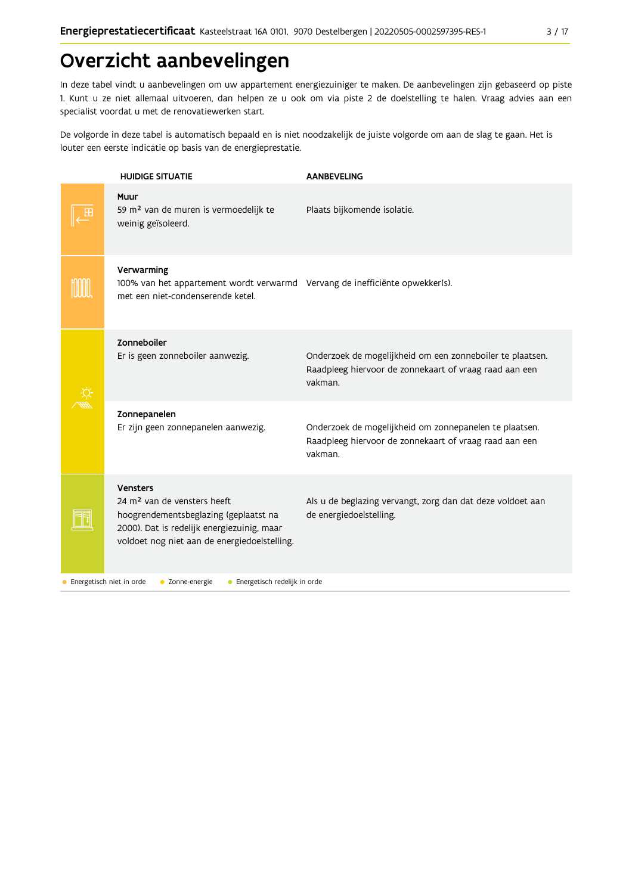# Overzicht aanbevelingen

In deze tabel vindt u aanbevelingen om uw appartement energiezuiniger te maken. De aanbevelingen zijn gebaseerd op piste 1. Kunt u ze niet allemaal uitvoeren, dan helpen ze u ook om via piste 2 de doelstelling te halen. Vraag advies aan een specialist voordat u met de renovatiewerken start.

De volgorde in deze tabel is automatisch bepaald en is niet noodzakelijk de juiste volgorde om aan de slag te gaan. Het is louter een eerste indicatie op basis van de energieprestatie.

|                          | <b>HUIDIGE SITUATIE</b>                                                                                                                                                                           | <b>AANBEVELING</b>                                                                                                             |
|--------------------------|---------------------------------------------------------------------------------------------------------------------------------------------------------------------------------------------------|--------------------------------------------------------------------------------------------------------------------------------|
|                          | Muur<br>59 m <sup>2</sup> van de muren is vermoedelijk te<br>weinig geïsoleerd.                                                                                                                   | Plaats bijkomende isolatie.                                                                                                    |
|                          | Verwarming<br>100% van het appartement wordt verwarmd Vervang de inefficiënte opwekker(s).<br>met een niet-condenserende ketel.                                                                   |                                                                                                                                |
|                          | Zonneboiler<br>Er is geen zonneboiler aanwezig.                                                                                                                                                   | Onderzoek de mogelijkheid om een zonneboiler te plaatsen.<br>Raadpleeg hiervoor de zonnekaart of vraag raad aan een<br>vakman. |
|                          | Zonnepanelen<br>Er zijn geen zonnepanelen aanwezig.                                                                                                                                               | Onderzoek de mogelijkheid om zonnepanelen te plaatsen.<br>Raadpleeg hiervoor de zonnekaart of vraag raad aan een<br>vakman.    |
|                          | <b>Vensters</b><br>24 m <sup>2</sup> van de vensters heeft<br>hoogrendementsbeglazing (geplaatst na<br>2000). Dat is redelijk energiezuinig, maar<br>voldoet nog niet aan de energiedoelstelling. | Als u de beglazing vervangt, zorg dan dat deze voldoet aan<br>de energiedoelstelling.                                          |
| Energetisch niet in orde | • Zonne-energie<br>• Energetisch redelijk in orde                                                                                                                                                 |                                                                                                                                |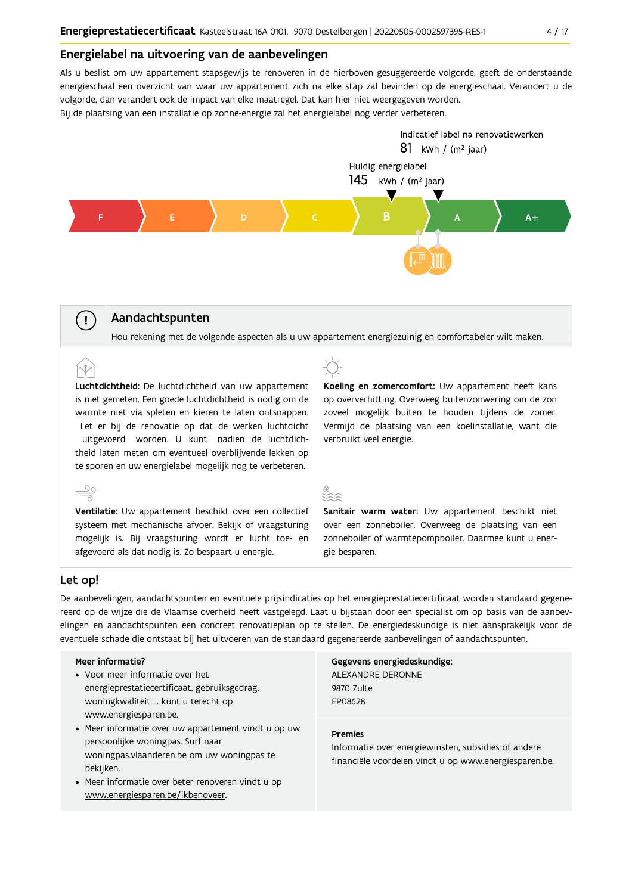#### Energielabel na uitvoering van de aanbevelingen

Als u beslist om uw appartement stapsgewijs te renoveren in de hierboven gesuggereerde volgorde, geeft de onderstaande energieschaal een overzicht van waar uw appartement zich na elke stap zal bevinden op de energieschaal. Verandert u de volgorde, dan verandert ook de impact van elke maatregel. Dat kan hier niet weergegeven worden.

Bij de plaatsing van een installatie op zonne-energie zal het energielabel nog verder verbeteren.



### Aandachtspunten

Hou rekening met de volgende aspecten als u uw appartement energiezuinig en comfortabeler wilt maken.

Luchtdichtheid: De luchtdichtheid van uw appartement is niet gemeten. Een goede luchtdichtheid is nodig om de warmte niet via spleten en kieren te laten ontsnappen. Let er bij de renovatie op dat de werken luchtdicht uitgevoerd worden. U kunt nadien de luchtdichtheid laten meten om eventueel overblijvende lekken op te sporen en uw energielabel mogelijk nog te verbeteren.

Ventilatie: Uw appartement beschikt over een collectief systeem met mechanische afvoer. Bekijk of vraagsturing mogelijk is. Bij vraagsturing wordt er lucht toe- en afgevoerd als dat nodig is. Zo bespaart u energie.

Koeling en zomercomfort: Uw appartement heeft kans op oververhitting. Overweeg buitenzonwering om de zon zoveel mogelijk buiten te houden tijdens de zomer. Vermijd de plaatsing van een koelinstallatie, want die verbruikt veel energie.



Sanitair warm water: Uw appartement beschikt niet over een zonneboiler. Overweeg de plaatsing van een zonneboiler of warmtepompboiler. Daarmee kunt u energie besparen.

#### Let op!

 $\stackrel{\circ}{\equiv}$ 

 $\left(\begin{array}{c} 1 \end{array}\right)$ 

De aanbevelingen, aandachtspunten en eventuele prijsindicaties op het energieprestatiecertificaat worden standaard gegenereerd op de wijze die de Vlaamse overheid heeft vastgelegd. Laat u bijstaan door een specialist om op basis van de aanbevelingen en aandachtspunten een concreet renovatieplan op te stellen. De energiedeskundige is niet aansprakelijk voor de eventuele schade die ontstaat bij het uitvoeren van de standaard gegenereerde aanbevelingen of aandachtspunten.

#### Meer informatie?

- Voor meer informatie over het energieprestatiecertificaat, gebruiksgedrag, woningkwaliteit ... kunt u terecht op www.energiesparen.be.
- Meer informatie over uw appartement vindt u op uw persoonlijke woningpas. Surf naar woningpas.vlaanderen.be om uw woningpas te bekijken.
- Meer informatie over beter renoveren vindt u op www.energiesparen.be/ikbenoveer.

#### Gegevens energiedeskundige: ALEXANDRE DERONNE 9870 Zulte

EP08628

#### **Premies**

Informatie over energiewinsten, subsidies of andere financiële voordelen vindt u op www.energiesparen.be.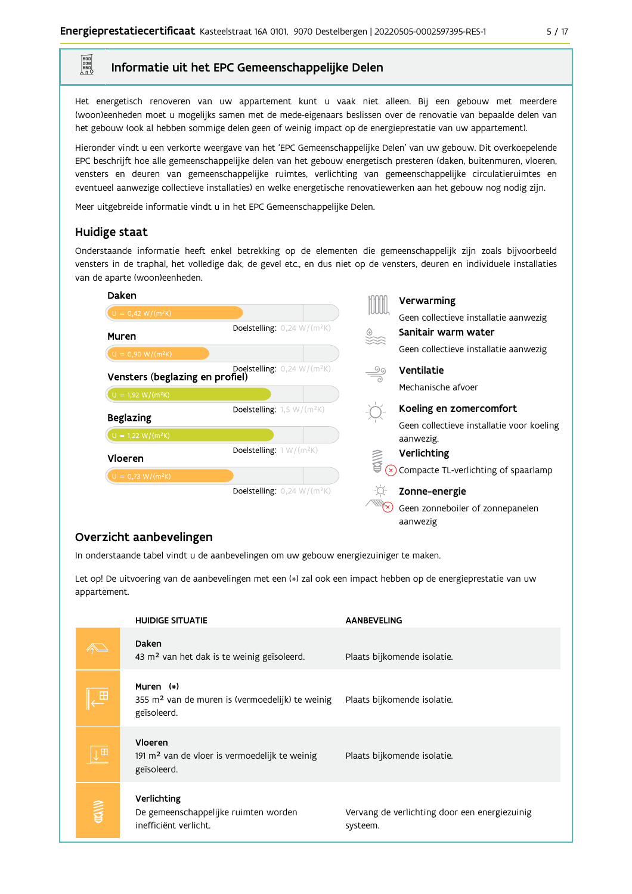### Informatie uit het EPC Gemeenschappelijke Delen

Het energetisch renoveren van uw appartement kunt u vaak niet alleen. Bij een gebouw met meerdere (woon)eenheden moet u mogelijks samen met de mede-eigenaars beslissen over de renovatie van bepaalde delen van het gebouw (ook al hebben sommige delen geen of weinig impact op de energieprestatie van uw appartement).

Hieronder vindt u een verkorte weergave van het 'EPC Gemeenschappelijke Delen' van uw gebouw. Dit overkoepelende EPC beschrijft hoe alle gemeenschappelijke delen van het gebouw energetisch presteren (daken, buitenmuren, vloeren, vensters en deuren van gemeenschappelijke ruimtes, verlichting van gemeenschappelijke circulatieruimtes en eventueel aanwezige collectieve installaties) en welke energetische renovatiewerken aan het gebouw nog nodig zijn.

Meer uitgebreide informatie vindt u in het EPC Gemeenschappelijke Delen.

### Huidige staat

E

Onderstaande informatie heeft enkel betrekking op de elementen die gemeenschappelijk zijn zoals bijvoorbeeld vensters in de traphal, het volledige dak, de gevel etc., en dus niet op de vensters, deuren en individuele installaties van de aparte (woon)eenheden.

| Daken                           |                                                    |               | Verwarming                                |
|---------------------------------|----------------------------------------------------|---------------|-------------------------------------------|
| $U = 0,42 W/(m^2K)$             |                                                    | JUUL          | Geen collectieve installatie aanwezig     |
| Muren                           | <b>Doelstelling:</b> $0,24$ W/(m <sup>2</sup> K)   | ▒             | Sanitair warm water                       |
| $U = 0,90 W/(m^2K)$             |                                                    |               | Geen collectieve installatie aanwezig     |
| Vensters (beglazing en profiel) | <b>Doelstelling:</b> $0,24$ W/(m <sup>2</sup> K)   | $\frac{5}{2}$ | Ventilatie                                |
| $U = 1,92$ W/(m <sup>2</sup> K) |                                                    |               | Mechanische afvoer                        |
|                                 | Doelstelling: $1,5 \text{ W}/(\text{m}^2\text{K})$ |               | Koeling en zomercomfort                   |
| <b>Beglazing</b>                |                                                    |               | Geen collectieve installatie voor koeling |
| $U = 1,22 W/(m^2K)$             |                                                    |               | aanwezig.                                 |
| Vloeren                         | Doelstelling: $1 W/(m^2K)$                         | <b>WW</b>     | Verlichting                               |
| $U = 0,73 W/(m^2K)$             |                                                    |               | Compacte TL-verlichting of spaarlamp      |
|                                 | <b>Doelstelling:</b> $0,24$ W/(m <sup>2</sup> K)   |               | Zonne-energie                             |
|                                 |                                                    |               | Geen zonneboiler of zonnepanelen          |

aanwezig

# Overzicht aanbevelingen

In onderstaande tabel vindt u de aanbevelingen om uw gebouw energiezuiniger te maken.

Let op! De uitvoering van de aanbevelingen met een (\*) zal ook een impact hebben op de energieprestatie van uw appartement.

|          | <b>HUIDIGE SITUATIE</b>                                                                 | <b>AANBEVELING</b>                                        |
|----------|-----------------------------------------------------------------------------------------|-----------------------------------------------------------|
|          | Daken<br>43 m <sup>2</sup> van het dak is te weinig geïsoleerd.                         | Plaats bijkomende isolatie.                               |
| E        | Muren (*)<br>355 m <sup>2</sup> van de muren is (vermoedelijk) te weinig<br>geïsoleerd. | Plaats bijkomende isolatie.                               |
| E        | Vloeren<br>191 m <sup>2</sup> van de vloer is vermoedelijk te weinig<br>geïsoleerd.     | Plaats bijkomende isolatie.                               |
| ⊜<br>ब्र | Verlichting<br>De gemeenschappelijke ruimten worden<br>inefficiënt verlicht.            | Vervang de verlichting door een energiezuinig<br>systeem. |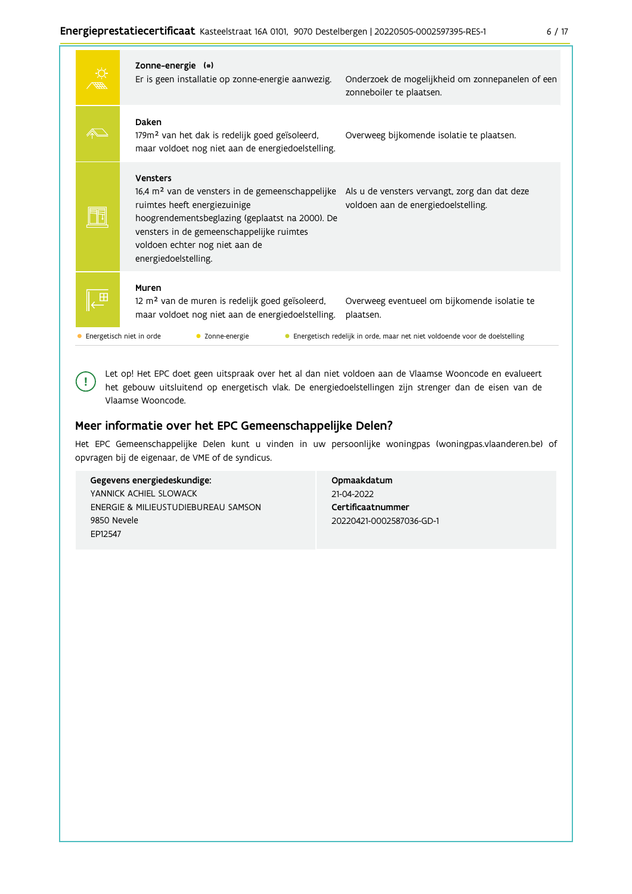|  | Zonne-energie (*)<br>Er is geen installatie op zonne-energie aanwezig.                                                                                                                                                                                                    | Onderzoek de mogelijkheid om zonnepanelen of een<br>zonneboiler te plaatsen.         |
|--|---------------------------------------------------------------------------------------------------------------------------------------------------------------------------------------------------------------------------------------------------------------------------|--------------------------------------------------------------------------------------|
|  | Daken<br>179m <sup>2</sup> van het dak is redelijk goed geïsoleerd,<br>maar voldoet nog niet aan de energiedoelstelling.                                                                                                                                                  | Overweeg bijkomende isolatie te plaatsen.                                            |
|  | <b>Vensters</b><br>16,4 m <sup>2</sup> van de vensters in de gemeenschappelijke<br>ruimtes heeft energiezuinige<br>hoogrendementsbeglazing (geplaatst na 2000). De<br>vensters in de gemeenschappelijke ruimtes<br>voldoen echter nog niet aan de<br>energiedoelstelling. | Als u de vensters vervangt, zorg dan dat deze<br>voldoen aan de energiedoelstelling. |
|  | Muren<br>12 m <sup>2</sup> van de muren is redelijk goed geïsoleerd,<br>maar voldoet nog niet aan de energiedoelstelling.                                                                                                                                                 | Overweeg eventueel om bijkomende isolatie te<br>plaatsen.                            |
|  | Energetisch niet in orde<br>Zonne-energie                                                                                                                                                                                                                                 | • Energetisch redelijk in orde, maar net niet voldoende voor de doelstelling         |

Let op! Het EPC doet geen uitspraak over het al dan niet voldoen aan de Vlaamse Wooncode en evalueert het gebouw uitsluitend op energetisch vlak. De energiedoelstellingen zijn strenger dan de eisen van de Vlaamse Wooncode.

# Meer informatie over het EPC Gemeenschappelijke Delen?

Het EPC Gemeenschappelijke Delen kunt u vinden in uw persoonlijke woningpas (woningpas.vlaanderen.be) of opvragen bij de eigenaar, de VME of de syndicus.

#### Gegevens energiedeskundige:

 $\left(\right.$   $\right.$ 

YANNICK ACHIEL SLOWACK ENERGIE & MILIEUSTUDIEBUREAU SAMSON 9850 Nevele EP12547

Opmaakdatum 21-04-2022 Certificaatnummer 20220421-0002587036-GD-1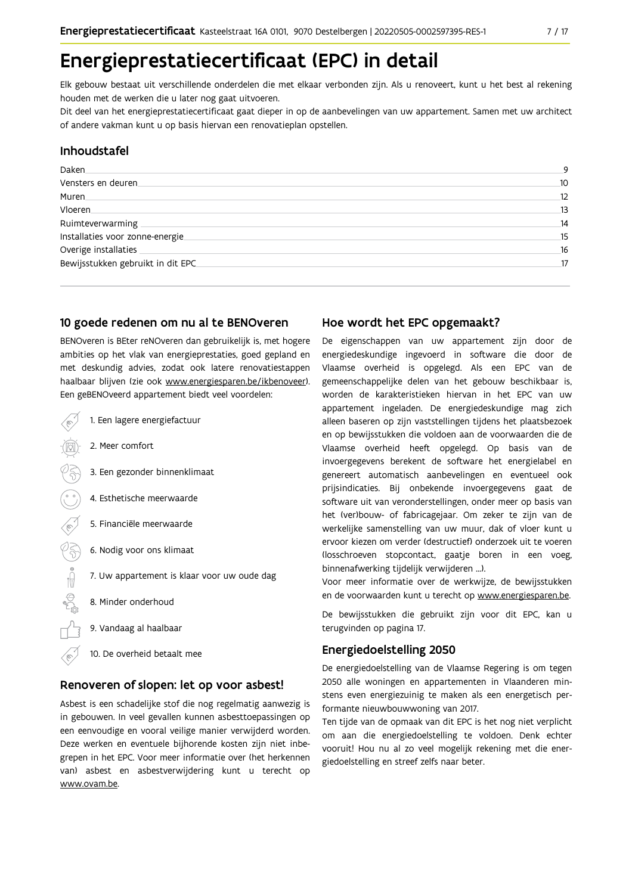# Energieprestatiecertificaat (EPC) in detail

Elk gebouw bestaat uit verschillende onderdelen die met elkaar verbonden zijn. Als u renoveert, kunt u het best al rekening houden met de werken die u later nog gaat uitvoeren.

Dit deel van het energieprestatiecertificaat gaat dieper in op de aanbevelingen van uw appartement. Samen met uw architect of andere vakman kunt u op basis hiervan een renovatieplan opstellen.

### Inhoudstafel

| Daken.                            | 9  |
|-----------------------------------|----|
| Vensters en deuren                | 10 |
| Muren.                            | 12 |
| <b>Vloeren</b>                    | 13 |
| Ruimteverwarming                  | 14 |
| Installaties voor zonne-energie.  | 15 |
| Overige installaties              | 16 |
| Bewijsstukken gebruikt in dit EPC | 17 |
|                                   |    |

### 10 goede redenen om nu al te BENOveren

BENOveren is BEter reNOveren dan gebruikelijk is, met hogere ambities op het vlak van energieprestaties, goed gepland en met deskundig advies, zodat ook latere renovatiestappen haalbaar blijven (zie ook www.energiesparen.be/ikbenoveer). Een geBENOveerd appartement biedt veel voordelen:

| 1. Een lagere energiefactuur                |
|---------------------------------------------|
| 2. Meer comfort                             |
| 3. Een gezonder binnenklimaat               |
| 4. Esthetische meerwaarde                   |
| 5. Financiële meerwaarde                    |
| 6. Nodig voor ons klimaat                   |
| 7. Uw appartement is klaar voor uw oude dag |
| 8. Minder onderhoud                         |
| 9. Vandaag al haalbaar                      |
| 10. De overheid betaalt mee                 |

### Renoveren of slopen: let op voor asbest!

Asbest is een schadelijke stof die nog regelmatig aanwezig is in gebouwen. In veel gevallen kunnen asbesttoepassingen op een eenvoudige en vooral veilige manier verwijderd worden. Deze werken en eventuele bijhorende kosten zijn niet inbegrepen in het EPC. Voor meer informatie over (het herkennen van) asbest en asbestverwijdering kunt u terecht op www.ovam.be.

# Hoe wordt het EPC opgemaakt?

De eigenschappen van uw appartement zijn door de energiedeskundige ingevoerd in software die door de Vlaamse overheid is opgelegd. Als een EPC van de gemeenschappelijke delen van het gebouw beschikbaar is, worden de karakteristieken hiervan in het EPC van uw appartement ingeladen. De energiedeskundige mag zich alleen baseren op zijn vaststellingen tijdens het plaatsbezoek en op bewijsstukken die voldoen aan de voorwaarden die de Vlaamse overheid heeft opgelegd. Op basis van de invoergegevens berekent de software het energielabel en genereert automatisch aanbevelingen en eventueel ook prijsindicaties. Bij onbekende invoergegevens gaat de software uit van veronderstellingen, onder meer op basis van het (ver)bouw- of fabricagejaar. Om zeker te zijn van de werkelijke samenstelling van uw muur, dak of vloer kunt u ervoor kiezen om verder (destructief) onderzoek uit te voeren (losschroeven stopcontact, gaatje boren in een voeg, binnenafwerking tijdelijk verwijderen ...).

Voor meer informatie over de werkwijze, de bewijsstukken en de voorwaarden kunt u terecht op www.energiesparen.be.

De bewijsstukken die gebruikt zijn voor dit EPC, kan u terugvinden op pagina 17.

# **Energiedoelstelling 2050**

De energiedoelstelling van de Vlaamse Regering is om tegen 2050 alle woningen en appartementen in Vlaanderen minstens even energiezuinig te maken als een energetisch performante nieuwbouwwoning van 2017.

Ten tijde van de opmaak van dit EPC is het nog niet verplicht om aan die energiedoelstelling te voldoen. Denk echter vooruit! Hou nu al zo veel mogelijk rekening met die energiedoelstelling en streef zelfs naar beter.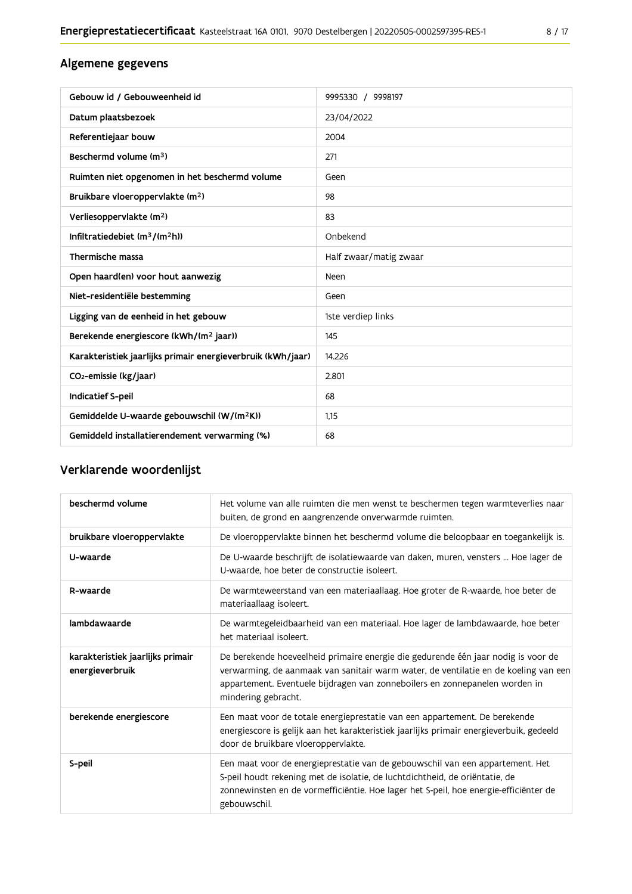# Algemene gegevens

| Gebouw id / Gebouweenheid id                                | 9995330 / 9998197      |
|-------------------------------------------------------------|------------------------|
| Datum plaatsbezoek                                          | 23/04/2022             |
| Referentiejaar bouw                                         | 2004                   |
| Beschermd volume (m <sup>3</sup> )                          | 271                    |
| Ruimten niet opgenomen in het beschermd volume              | Geen                   |
| Bruikbare vloeroppervlakte (m <sup>2</sup> )                | 98                     |
| Verliesoppervlakte (m <sup>2</sup> )                        | 83                     |
| Infiltratiedebiet $(m^3/(m^2h))$                            | Onbekend               |
| Thermische massa                                            | Half zwaar/matig zwaar |
| Open haard(en) voor hout aanwezig                           | Neen                   |
| Niet-residentiële bestemming                                | Geen                   |
| Ligging van de eenheid in het gebouw                        | 1ste verdiep links     |
| Berekende energiescore (kWh/(m <sup>2</sup> jaar))          | 145                    |
| Karakteristiek jaarlijks primair energieverbruik (kWh/jaar) | 14.226                 |
| CO <sub>2</sub> -emissie (kg/jaar)                          | 2.801                  |
| Indicatief S-peil                                           | 68                     |
| Gemiddelde U-waarde gebouwschil (W/(m <sup>2</sup> K))      | 1,15                   |
| Gemiddeld installatierendement verwarming (%)               | 68                     |

# Verklarende woordenlijst

| beschermd volume                                    | Het volume van alle ruimten die men wenst te beschermen tegen warmteverlies naar<br>buiten, de grond en aangrenzende onverwarmde ruimten.                                                                                                                                      |
|-----------------------------------------------------|--------------------------------------------------------------------------------------------------------------------------------------------------------------------------------------------------------------------------------------------------------------------------------|
| bruikbare vloeroppervlakte                          | De vloeroppervlakte binnen het beschermd volume die beloopbaar en toegankelijk is.                                                                                                                                                                                             |
| U-waarde                                            | De U-waarde beschrijft de isolatiewaarde van daken, muren, vensters  Hoe lager de<br>U-waarde, hoe beter de constructie isoleert.                                                                                                                                              |
| R-waarde                                            | De warmteweerstand van een materiaallaag. Hoe groter de R-waarde, hoe beter de<br>materiaallaag isoleert.                                                                                                                                                                      |
| lambdawaarde                                        | De warmtegeleidbaarheid van een materiaal. Hoe lager de lambdawaarde, hoe beter<br>het materiaal isoleert.                                                                                                                                                                     |
| karakteristiek jaarlijks primair<br>energieverbruik | De berekende hoeveelheid primaire energie die gedurende één jaar nodig is voor de<br>verwarming, de aanmaak van sanitair warm water, de ventilatie en de koeling van een<br>appartement. Eventuele bijdragen van zonneboilers en zonnepanelen worden in<br>mindering gebracht. |
| berekende energiescore                              | Een maat voor de totale energieprestatie van een appartement. De berekende<br>energiescore is gelijk aan het karakteristiek jaarlijks primair energieverbuik, gedeeld<br>door de bruikbare vloeroppervlakte.                                                                   |
| S-peil                                              | Een maat voor de energieprestatie van de gebouwschil van een appartement. Het<br>S-peil houdt rekening met de isolatie, de luchtdichtheid, de oriëntatie, de<br>zonnewinsten en de vormefficiëntie. Hoe lager het S-peil, hoe energie-efficiënter de<br>gebouwschil.           |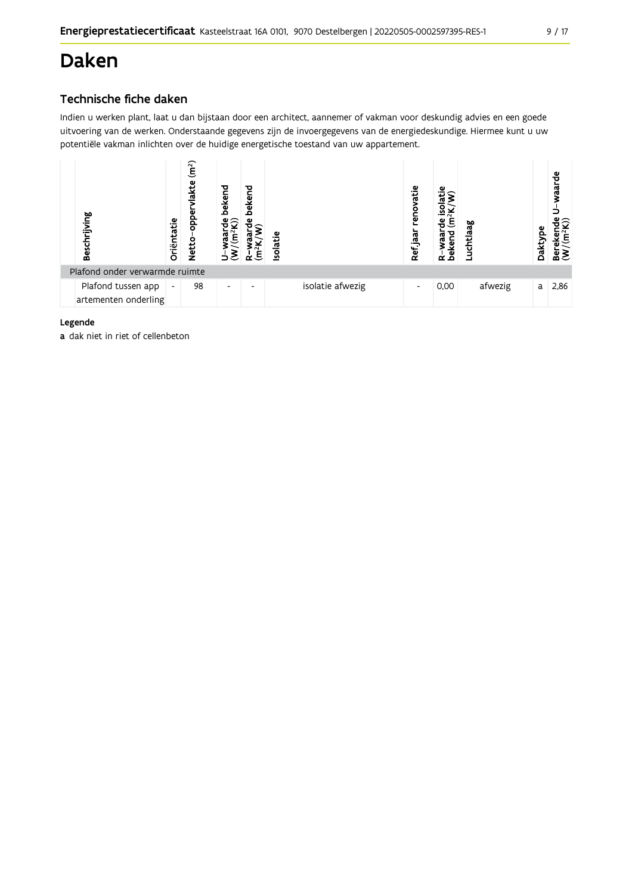# **Daken**

# Technische fiche daken

Indien u werken plant, laat u dan bijstaan door een architect, aannemer of vakman voor deskundig advies en een goede uitvoering van de werken. Onderstaande gegevens zijn de invoergegevens van de energiedeskundige. Hiermee kunt u uw potentiële vakman inlichten over de huidige energetische toestand van uw appartement.



### Legende

a dak niet in riet of cellenbeton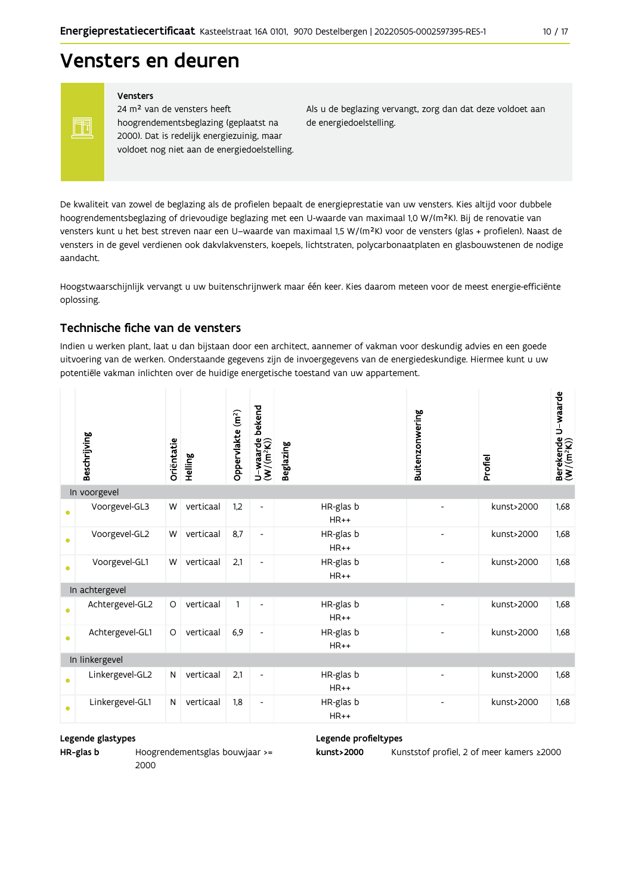# Vensters en deuren

Vensters

FF

24 m<sup>2</sup> van de vensters heeft hoogrendementsbeglazing (geplaatst na 2000). Dat is redelijk energiezuinig, maar voldoet nog niet aan de energiedoelstelling. Als u de beglazing vervangt, zorg dan dat deze voldoet aan de energiedoelstelling.

De kwaliteit van zowel de beglazing als de profielen bepaalt de energieprestatie van uw vensters. Kies altijd voor dubbele hoogrendementsbeglazing of drievoudige beglazing met een U-waarde van maximaal 1,0 W/(m<sup>2</sup>K). Bij de renovatie van vensters kunt u het best streven naar een U-waarde van maximaal 1,5 W/(m<sup>2</sup>K) voor de vensters (glas + profielen). Naast de vensters in de gevel verdienen ook dakvlakvensters, koepels, lichtstraten, polycarbonaatplaten en glasbouwstenen de nodige aandacht.

Hoogstwaarschijnlijk vervangt u uw buitenschrijnwerk maar één keer. Kies daarom meteen voor de meest energie-efficiënte oplossing.

### Technische fiche van de vensters

Indien u werken plant, laat u dan bijstaan door een architect, aannemer of vakman voor deskundig advies en een goede uitvoering van de werken. Onderstaande gegevens zijn de invoergegevens van de energiedeskundige. Hiermee kunt u uw potentiële vakman inlichten over de huidige energetische toestand van uw appartement.

|           | Beschrijving    | Oriëntatie | Helling   | Oppervlakte (m <sup>2</sup> ) | bekend<br>$U$ –waarde l $(W/(m^2K))$ | <b>Beglazing</b>    | Buitenzonwering          | Profiel    | Berekende U-waarde<br>(W/(m <sup>2</sup> K)) |
|-----------|-----------------|------------|-----------|-------------------------------|--------------------------------------|---------------------|--------------------------|------------|----------------------------------------------|
|           | In voorgevel    |            |           |                               |                                      |                     |                          |            |                                              |
| ●         | Voorgevel-GL3   | W          | verticaal | 1,2                           | $\overline{\phantom{a}}$             | HR-glas b<br>$HR++$ |                          | kunst>2000 | 1,68                                         |
| $\bullet$ | Voorgevel-GL2   | W          | verticaal | 8,7                           | $\qquad \qquad \blacksquare$         | HR-glas b<br>$HR++$ |                          | kunst>2000 | 1,68                                         |
| ٠         | Voorgevel-GL1   | W          | verticaal | 2,1                           | $\overline{\phantom{a}}$             | HR-glas b<br>$HR++$ | $\overline{\phantom{a}}$ | kunst>2000 | 1.68                                         |
|           | In achtergevel  |            |           |                               |                                      |                     |                          |            |                                              |
| $\bullet$ | Achtergevel-GL2 | $\circ$    | verticaal | 1                             | $\overline{\phantom{a}}$             | HR-glas b<br>$HR++$ |                          | kunst>2000 | 1,68                                         |
| $\bullet$ | Achtergevel-GL1 | $\circ$    | verticaal | 6,9                           | $\overline{\phantom{a}}$             | HR-glas b<br>$HR++$ |                          | kunst>2000 | 1.68                                         |
|           | In linkergevel  |            |           |                               |                                      |                     |                          |            |                                              |
| $\bullet$ | Linkergevel-GL2 | N          | verticaal | 2,1                           | $\overline{\phantom{a}}$             | HR-glas b<br>$HR++$ |                          | kunst>2000 | 1.68                                         |
| $\bullet$ | Linkergevel-GL1 | N          | verticaal | 1,8                           | $\overline{\phantom{a}}$             | HR-glas b<br>$HR++$ |                          | kunst>2000 | 1.68                                         |

#### Legende glastypes

HR-glas b

Hoogrendementsglas bouwjaar >= 2000

Legende profieltypes

kunst>2000 Kunststof profiel, 2 of meer kamers ≥2000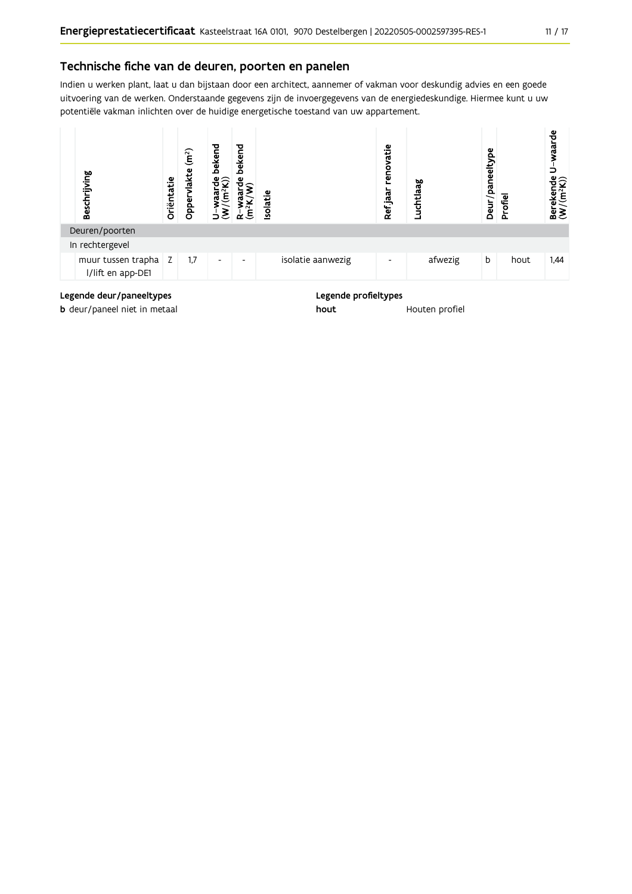### Technische fiche van de deuren, poorten en panelen

Indien u werken plant, laat u dan bijstaan door een architect, aannemer of vakman voor deskundig advies en een goede uitvoering van de werken. Onderstaande gegevens zijn de invoergegevens van de energiedeskundige. Hiermee kunt u uw potentiële vakman inlichten over de huidige energetische toestand van uw appartement.



Legende deur/paneeltypes

**b** deur/paneel niet in metaal

Legende profieltypes

hout Houten profiel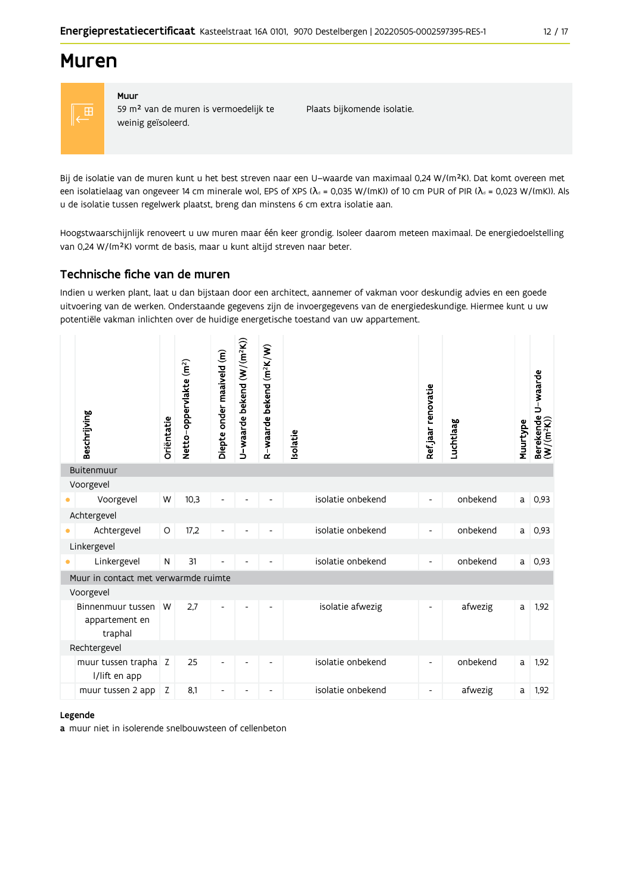# **Muren**



#### Muur 59 m<sup>2</sup> van de muren is vermoedelijk te weinig geïsoleerd.

Plaats bijkomende isolatie.

Bij de isolatie van de muren kunt u het best streven naar een U-waarde van maximaal 0,24 W/(m<sup>2</sup>K). Dat komt overeen met een isolatielaag van ongeveer 14 cm minerale wol, EPS of XPS ( $\lambda$ <sub>d</sub> = 0,035 W/(mK)) of 10 cm PUR of PIR ( $\lambda$ <sub>d</sub> = 0,023 W/(mK)). Als u de isolatie tussen regelwerk plaatst, breng dan minstens 6 cm extra isolatie aan.

Hoogstwaarschijnlijk renoveert u uw muren maar één keer grondig. Isoleer daarom meteen maximaal. De energiedoelstelling van 0,24 W/(m<sup>2</sup>K) vormt de basis, maar u kunt altijd streven naar beter.

# Technische fiche van de muren

Indien u werken plant, laat u dan bijstaan door een architect, aannemer of vakman voor deskundig advies en een goede uitvoering van de werken. Onderstaande gegevens zijn de invoergegevens van de energiedeskundige. Hiermee kunt u uw potentiële vakman inlichten over de huidige energetische toestand van uw appartement.

| Beschrijving                          | Oriëntatie | Netto-oppervlakte (m <sup>2</sup> ) | Diepte onder maaiveld (m) | U-waarde bekend (W/(m <sup>2</sup> K)) | R-waarde bekend (m <sup>2</sup> K/W) | <b>Isolatie</b> |                   | Ref.jaar renovatie       | Luchtlaag | Muurtype | Berekende U-waarde<br>(W/(m <sup>2</sup> K)) |
|---------------------------------------|------------|-------------------------------------|---------------------------|----------------------------------------|--------------------------------------|-----------------|-------------------|--------------------------|-----------|----------|----------------------------------------------|
| Buitenmuur                            |            |                                     |                           |                                        |                                      |                 |                   |                          |           |          |                                              |
| Voorgevel                             |            |                                     |                           |                                        |                                      |                 |                   |                          |           |          |                                              |
| Voorgevel                             | W          | 10,3                                | ÷                         |                                        |                                      |                 | isolatie onbekend | $\overline{\phantom{a}}$ | onbekend  | a l      | 0,93                                         |
| Achtergevel                           |            |                                     |                           |                                        |                                      |                 |                   |                          |           |          |                                              |
| Achtergevel                           | O          | 17,2                                | Ĭ.                        |                                        |                                      |                 | isolatie onbekend | $\overline{\phantom{a}}$ | onbekend  | a        | 0,93                                         |
| Linkergevel                           |            |                                     |                           |                                        |                                      |                 |                   |                          |           |          |                                              |
| Linkergevel                           | ${\sf N}$  | 31                                  |                           |                                        |                                      |                 | isolatie onbekend | $\overline{\phantom{a}}$ | onbekend  | a        | 0,93                                         |
| Muur in contact met verwarmde ruimte  |            |                                     |                           |                                        |                                      |                 |                   |                          |           |          |                                              |
| Voorgevel                             |            |                                     |                           |                                        |                                      |                 |                   |                          |           |          |                                              |
| Binnenmuur tussen<br>appartement en   | W          | 2.7                                 | Ĭ.                        | $\overline{\phantom{a}}$               |                                      |                 | isolatie afwezig  | $\blacksquare$           | afwezig   | a        | 1,92                                         |
| traphal                               |            |                                     |                           |                                        |                                      |                 |                   |                          |           |          |                                              |
| Rechtergevel                          |            |                                     |                           |                                        |                                      |                 |                   |                          |           |          |                                              |
| muur tussen trapha Z<br>I/lift en app |            | 25                                  | $\overline{a}$            | $\overline{a}$                         |                                      |                 | isolatie onbekend | $\overline{\phantom{a}}$ | onbekend  | a        | 1,92                                         |
| muur tussen 2 app                     | Z          | 8,1                                 | $\overline{\phantom{a}}$  | $\overline{\phantom{a}}$               |                                      |                 | isolatie onbekend | $\overline{\phantom{a}}$ | afwezig   | a        | 1,92                                         |
|                                       |            |                                     |                           |                                        |                                      |                 |                   |                          |           |          |                                              |

#### Legende

a muur niet in isolerende snelbouwsteen of cellenbeton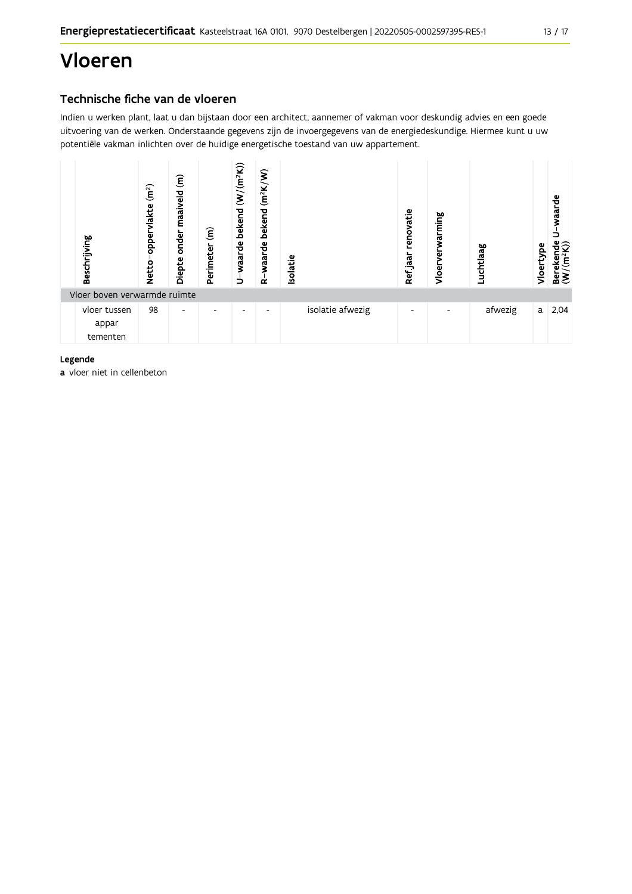# Vloeren

# Technische fiche van de vloeren

Indien u werken plant, laat u dan bijstaan door een architect, aannemer of vakman voor deskundig advies en een goede uitvoering van de werken. Onderstaande gegevens zijn de invoergegevens van de energiedeskundige. Hiermee kunt u uw potentiële vakman inlichten over de huidige energetische toestand van uw appartement.



Legende

a vloer niet in cellenbeton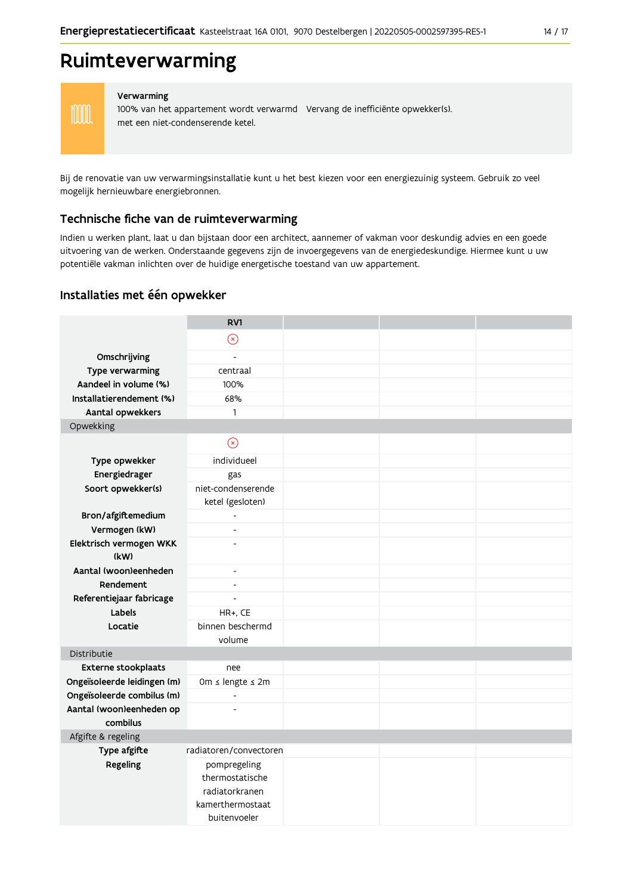# Ruimteverwarming

**MM** 

#### Verwarming

100% van het appartement wordt verwarmd Vervang de inefficiënte opwekker(s). met een niet-condenserende ketel.

Bij de renovatie van uw verwarmingsinstallatie kunt u het best kiezen voor een energiezuinig systeem. Gebruik zo veel mogelijk hernieuwbare energiebronnen.

### Technische fiche van de ruimteverwarming

Indien u werken plant, laat u dan bijstaan door een architect, aannemer of vakman voor deskundig advies en een goede uitvoering van de werken. Onderstaande gegevens zijn de invoergegevens van de energiedeskundige. Hiermee kunt u uw potentiële vakman inlichten over de huidige energetische toestand van uw appartement.

### Installaties met één opwekker

|                                 | RV1                                    |  |  |
|---------------------------------|----------------------------------------|--|--|
|                                 | $\circledR$                            |  |  |
| Omschrijving                    | $\overline{a}$                         |  |  |
| <b>Type verwarming</b>          | centraal                               |  |  |
| Aandeel in volume (%)           | 100%                                   |  |  |
| Installatierendement (%)        | 68%                                    |  |  |
| Aantal opwekkers                | $\mathbf{1}$                           |  |  |
| Opwekking                       |                                        |  |  |
|                                 | $\circledcirc$                         |  |  |
| Type opwekker                   | individueel                            |  |  |
| Energiedrager                   | gas                                    |  |  |
| Soort opwekker(s)               | niet-condenserende<br>ketel (gesloten) |  |  |
| Bron/afgiftemedium              | $\overline{a}$                         |  |  |
| Vermogen (kW)                   | $\overline{a}$                         |  |  |
| Elektrisch vermogen WKK<br>(kW) | $\overline{\phantom{a}}$               |  |  |
| Aantal (woon)eenheden           | $\overline{\phantom{a}}$               |  |  |
| Rendement                       | $\overline{a}$                         |  |  |
| Referentiejaar fabricage        | $\overline{a}$                         |  |  |
| Labels                          | HR+, CE                                |  |  |
| Locatie                         | binnen beschermd<br>volume             |  |  |
| Distributie                     |                                        |  |  |
| <b>Externe stookplaats</b>      | nee                                    |  |  |
| Ongeïsoleerde leidingen (m)     | Om ≤ lengte ≤ 2m                       |  |  |
| Ongeïsoleerde combilus (m)      | $\overline{a}$                         |  |  |
| Aantal (woon)eenheden op        | $\qquad \qquad \blacksquare$           |  |  |
| combilus                        |                                        |  |  |
| Afgifte & regeling              |                                        |  |  |
| Type afgifte                    | radiatoren/convectoren                 |  |  |
| Regeling                        | pompregeling<br>thermostatische        |  |  |
|                                 | radiatorkranen                         |  |  |
|                                 | kamerthermostaat                       |  |  |
|                                 | buitenvoeler                           |  |  |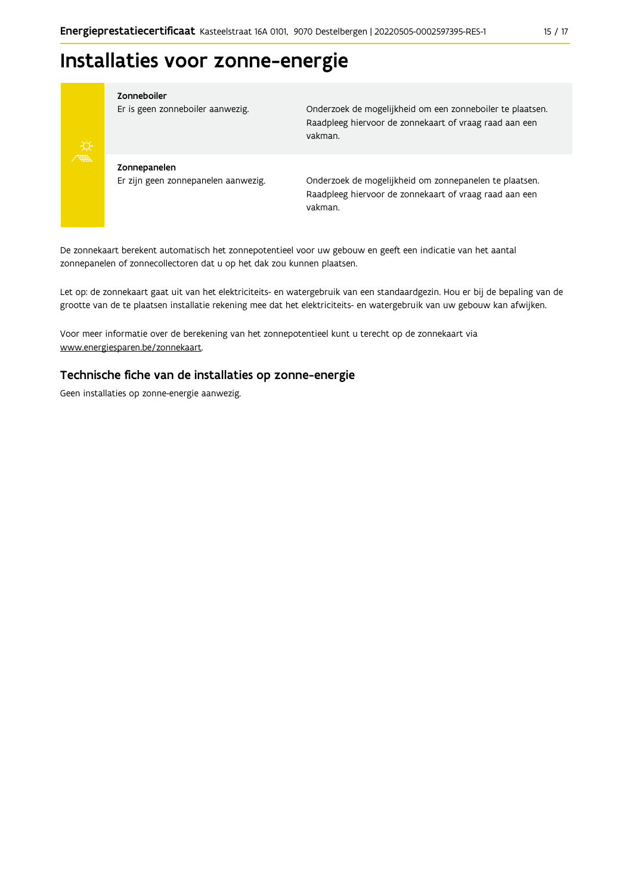# Installaties voor zonne-energie



#### Zonneboiler

Er is geen zonneboiler aanwezig.

Onderzoek de mogelijkheid om een zonneboiler te plaatsen. Raadpleeg hiervoor de zonnekaart of vraag raad aan een vakman.

Zonnepanelen Er zijn geen zonnepanelen aanwezig.

Onderzoek de mogelijkheid om zonnepanelen te plaatsen. Raadpleeg hiervoor de zonnekaart of vraag raad aan een vakman.

De zonnekaart berekent automatisch het zonnepotentieel voor uw gebouw en geeft een indicatie van het aantal zonnepanelen of zonnecollectoren dat u op het dak zou kunnen plaatsen.

Let op: de zonnekaart gaat uit van het elektriciteits- en watergebruik van een standaardgezin. Hou er bij de bepaling van de grootte van de te plaatsen installatie rekening mee dat het elektriciteits- en watergebruik van uw gebouw kan afwijken.

Voor meer informatie over de berekening van het zonnepotentieel kunt u terecht op de zonnekaart via www.energiesparen.be/zonnekaart.

### Technische fiche van de installaties op zonne-energie

Geen installaties op zonne-energie aanwezig.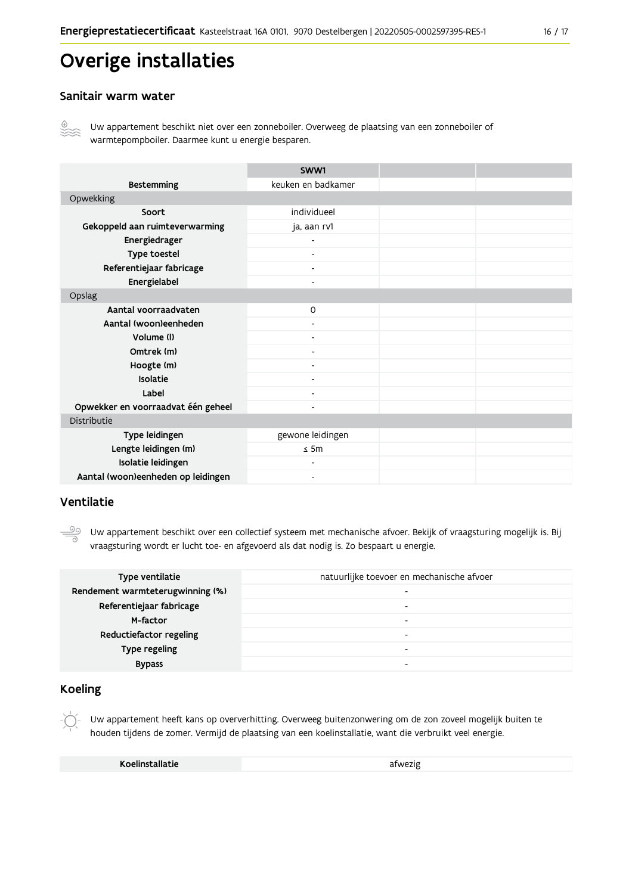# Overige installaties

### Sanitair warm water



Uw appartement beschikt niet over een zonneboiler. Overweeg de plaatsing van een zonneboiler of warmtepompboiler. Daarmee kunt u energie besparen.

|                                    | SWW1                     |  |  |  |
|------------------------------------|--------------------------|--|--|--|
| <b>Bestemming</b>                  | keuken en badkamer       |  |  |  |
| Opwekking                          |                          |  |  |  |
| Soort                              | individueel              |  |  |  |
| Gekoppeld aan ruimteverwarming     | ja, aan rv1              |  |  |  |
| Energiedrager                      |                          |  |  |  |
| Type toestel                       | $\blacksquare$           |  |  |  |
| Referentiejaar fabricage           | $\overline{\phantom{a}}$ |  |  |  |
| Energielabel                       |                          |  |  |  |
| Opslag                             |                          |  |  |  |
| Aantal voorraadvaten               | $\circ$                  |  |  |  |
| Aantal (woon)eenheden              |                          |  |  |  |
| Volume (I)                         | $\overline{\phantom{0}}$ |  |  |  |
| Omtrek (m)                         |                          |  |  |  |
| Hoogte (m)                         |                          |  |  |  |
| Isolatie                           | $\overline{\phantom{a}}$ |  |  |  |
| Label                              | ۰                        |  |  |  |
| Opwekker en voorraadvat één geheel |                          |  |  |  |
| Distributie                        |                          |  |  |  |
| Type leidingen                     | gewone leidingen         |  |  |  |
| Lengte leidingen (m)               | $\leq$ 5m                |  |  |  |
| Isolatie leidingen                 |                          |  |  |  |
| Aantal (woon)eenheden op leidingen |                          |  |  |  |

### Ventilatie

Uw appartement beschikt over een collectief systeem met mechanische afvoer. Bekijk of vraagsturing mogelijk is. Bij vraagsturing wordt er lucht toe- en afgevoerd als dat nodig is. Zo bespaart u energie.

| Type ventilatie                  | natuurlijke toevoer en mechanische afvoer |
|----------------------------------|-------------------------------------------|
| Rendement warmteterugwinning (%) | -                                         |
| Referentiejaar fabricage         | -                                         |
| M-factor                         | -                                         |
| Reductiefactor regeling          | -                                         |
| Type regeling                    | -                                         |
| <b>Bypass</b>                    |                                           |

### **Koeling**

Uw appartement heeft kans op oververhitting. Overweeg buitenzonwering om de zon zoveel mogelijk buiten te houden tijdens de zomer. Vermijd de plaatsing van een koelinstallatie, want die verbruikt veel energie.

afwezig